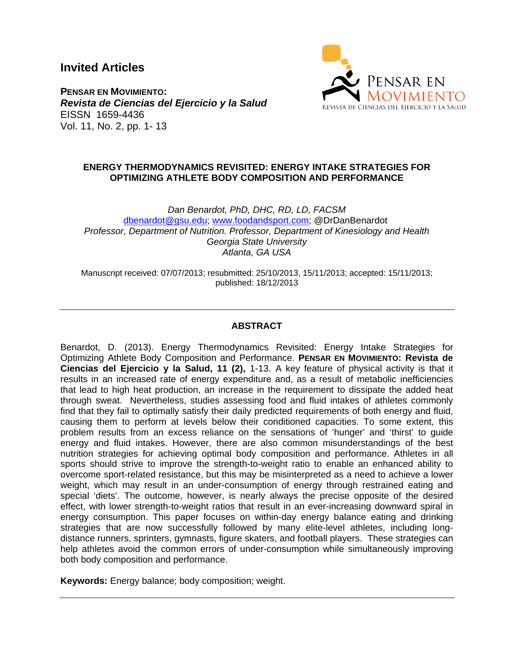**Invited Articles**



**PENSAR EN MOVIMIENTO:** *Revista de Ciencias del Ejercicio y la Salud*  EISSN 1659-4436 Vol. 11, No. 2, pp. 1- 13

### **ENERGY THERMODYNAMICS REVISITED: ENERGY INTAKE STRATEGIES FOR OPTIMIZING ATHLETE BODY COMPOSITION AND PERFORMANCE**

*Dan Benardot, PhD, DHC, RD, LD, FACSM* [dbenardot@gsu.edu;](mailto:dbenardot@gsu.edu) [www.foodandsport.com;](http://www.foodandsport.com/) @DrDanBenardot *Professor, Department of Nutrition. Professor, Department of Kinesiology and Health Georgia State University Atlanta, GA USA*

Manuscript received: 07/07/2013; resubmitted: 25/10/2013, 15/11/2013; accepted: 15/11/2013; published: 18/12/2013

# **ABSTRACT**

Benardot, D. (2013). Energy Thermodynamics Revisited: Energy Intake Strategies for Optimizing Athlete Body Composition and Performance. **PENSAR EN MOVIMIENTO: Revista de Ciencias del Ejercicio y la Salud, 11 (2),** 1-13. A key feature of physical activity is that it results in an increased rate of energy expenditure and, as a result of metabolic inefficiencies that lead to high heat production, an increase in the requirement to dissipate the added heat through sweat. Nevertheless, studies assessing food and fluid intakes of athletes commonly find that they fail to optimally satisfy their daily predicted requirements of both energy and fluid, causing them to perform at levels below their conditioned capacities. To some extent, this problem results from an excess reliance on the sensations of 'hunger' and 'thirst' to guide energy and fluid intakes. However, there are also common misunderstandings of the best nutrition strategies for achieving optimal body composition and performance. Athletes in all sports should strive to improve the strength-to-weight ratio to enable an enhanced ability to overcome sport-related resistance, but this may be misinterpreted as a need to achieve a lower weight, which may result in an under-consumption of energy through restrained eating and special 'diets'. The outcome, however, is nearly always the precise opposite of the desired effect, with lower strength-to-weight ratios that result in an ever-increasing downward spiral in energy consumption. This paper focuses on within-day energy balance eating and drinking strategies that are now successfully followed by many elite-level athletes, including longdistance runners, sprinters, gymnasts, figure skaters, and football players. These strategies can help athletes avoid the common errors of under-consumption while simultaneously improving both body composition and performance.

**Keywords:** Energy balance; body composition; weight.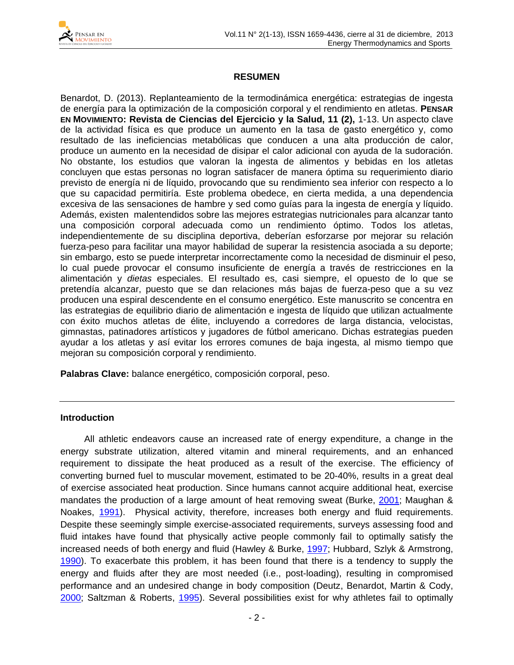

## **RESUMEN**

Benardot, D. (2013). Replanteamiento de la termodinámica energética: estrategias de ingesta de energía para la optimización de la composición corporal y el rendimiento en atletas. **PENSAR EN MOVIMIENTO: Revista de Ciencias del Ejercicio y la Salud, 11 (2),** 1-13. Un aspecto clave de la actividad física es que produce un aumento en la tasa de gasto energético y, como resultado de las ineficiencias metabólicas que conducen a una alta producción de calor, produce un aumento en la necesidad de disipar el calor adicional con ayuda de la sudoración. No obstante, los estudios que valoran la ingesta de alimentos y bebidas en los atletas concluyen que estas personas no logran satisfacer de manera óptima su requerimiento diario previsto de energía ni de líquido, provocando que su rendimiento sea inferior con respecto a lo que su capacidad permitiría. Este problema obedece, en cierta medida, a una dependencia excesiva de las sensaciones de hambre y sed como guías para la ingesta de energía y líquido. Además, existen malentendidos sobre las mejores estrategias nutricionales para alcanzar tanto una composición corporal adecuada como un rendimiento óptimo. Todos los atletas, independientemente de su disciplina deportiva, deberían esforzarse por mejorar su relación fuerza-peso para facilitar una mayor habilidad de superar la resistencia asociada a su deporte; sin embargo, esto se puede interpretar incorrectamente como la necesidad de disminuir el peso, lo cual puede provocar el consumo insuficiente de energía a través de restricciones en la alimentación y *dietas* especiales. El resultado es, casi siempre, el opuesto de lo que se pretendía alcanzar, puesto que se dan relaciones más bajas de fuerza-peso que a su vez producen una espiral descendente en el consumo energético. Este manuscrito se concentra en las estrategias de equilibrio diario de alimentación e ingesta de líquido que utilizan actualmente con éxito muchos atletas de élite, incluyendo a corredores de larga distancia, velocistas, gimnastas, patinadores artísticos y jugadores de fútbol americano. Dichas estrategias pueden ayudar a los atletas y así evitar los errores comunes de baja ingesta, al mismo tiempo que mejoran su composición corporal y rendimiento.

**Palabras Clave:** balance energético, composición corporal, peso.

#### **Introduction**

All athletic endeavors cause an increased rate of energy expenditure, a change in the energy substrate utilization, altered vitamin and mineral requirements, and an enhanced requirement to dissipate the heat produced as a result of the exercise. The efficiency of converting burned fuel to muscular movement, estimated to be 20-40%, results in a great deal of exercise associated heat production. Since humans cannot acquire additional heat, exercise mandates the production of a large amount of heat removing sweat (Burke, [2001;](#page-10-0) Maughan & Noakes, [1991\)](#page-11-0). Physical activity, therefore, increases both energy and fluid requirements. Despite these seemingly simple exercise-associated requirements, surveys assessing food and fluid intakes have found that physically active people commonly fail to optimally satisfy the increased needs of both energy and fluid (Hawley & Burke, [1997;](#page-10-1) Hubbard, Szlyk & Armstrong, [1990\)](#page-10-2). To exacerbate this problem, it has been found that there is a tendency to supply the energy and fluids after they are most needed (i.e., post-loading), resulting in compromised performance and an undesired change in body composition (Deutz, Benardot, Martin & Cody, [2000;](#page-10-3) Saltzman & Roberts, [1995\)](#page-11-1). Several possibilities exist for why athletes fail to optimally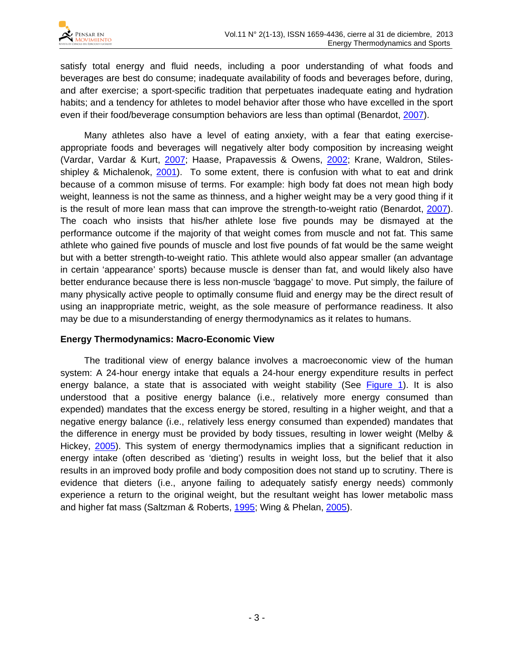

satisfy total energy and fluid needs, including a poor understanding of what foods and beverages are best do consume; inadequate availability of foods and beverages before, during, and after exercise; a sport-specific tradition that perpetuates inadequate eating and hydration habits; and a tendency for athletes to model behavior after those who have excelled in the sport even if their food/beverage consumption behaviors are less than optimal (Benardot, [2007\)](#page-9-0).

Many athletes also have a level of eating anxiety, with a fear that eating exerciseappropriate foods and beverages will negatively alter body composition by increasing weight (Vardar, Vardar & Kurt, [2007;](#page-12-0) Haase, Prapavessis & Owens, [2002;](#page-10-4) Krane, Waldron, Stiles-shipley & Michalenok, [2001\)](#page-11-2). To some extent, there is confusion with what to eat and drink because of a common misuse of terms. For example: high body fat does not mean high body weight, leanness is not the same as thinness, and a higher weight may be a very good thing if it is the result of more lean mass that can improve the strength-to-weight ratio (Benardot, [2007\)](#page-9-0). The coach who insists that his/her athlete lose five pounds may be dismayed at the performance outcome if the majority of that weight comes from muscle and not fat. This same athlete who gained five pounds of muscle and lost five pounds of fat would be the same weight but with a better strength-to-weight ratio. This athlete would also appear smaller (an advantage in certain 'appearance' sports) because muscle is denser than fat, and would likely also have better endurance because there is less non-muscle 'baggage' to move. Put simply, the failure of many physically active people to optimally consume fluid and energy may be the direct result of using an inappropriate metric, weight, as the sole measure of performance readiness. It also may be due to a misunderstanding of energy thermodynamics as it relates to humans.

### **Energy Thermodynamics: Macro-Economic View**

The traditional view of energy balance involves a macroeconomic view of the human system: A 24-hour energy intake that equals a 24-hour energy expenditure results in perfect energy balance, a state that is associated with weight stability (See [Figure 1\)](#page-3-0). It is also understood that a positive energy balance (i.e., relatively more energy consumed than expended) mandates that the excess energy be stored, resulting in a higher weight, and that a negative energy balance (i.e., relatively less energy consumed than expended) mandates that the difference in energy must be provided by body tissues, resulting in lower weight (Melby & Hickey, [2005\)](#page-11-3). This system of energy thermodynamics implies that a significant reduction in energy intake (often described as 'dieting') results in weight loss, but the belief that it also results in an improved body profile and body composition does not stand up to scrutiny. There is evidence that dieters (i.e., anyone failing to adequately satisfy energy needs) commonly experience a return to the original weight, but the resultant weight has lower metabolic mass and higher fat mass (Saltzman & Roberts, [1995;](#page-11-1) Wing & Phelan, [2005\)](#page-12-1).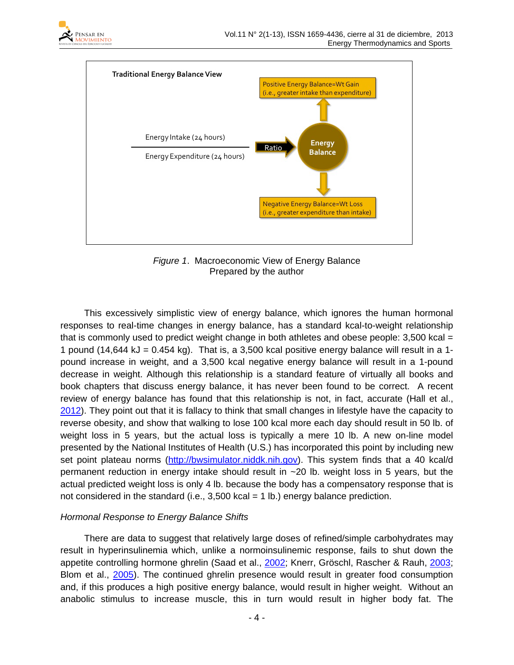



*Figure 1*. Macroeconomic View of Energy Balance Prepared by the author

<span id="page-3-0"></span>This excessively simplistic view of energy balance, which ignores the human hormonal responses to real-time changes in energy balance, has a standard kcal-to-weight relationship that is commonly used to predict weight change in both athletes and obese people:  $3,500$  kcal = 1 pound (14,644 kJ =  $0.454$  kg). That is, a 3,500 kcal positive energy balance will result in a 1pound increase in weight, and a 3,500 kcal negative energy balance will result in a 1-pound decrease in weight. Although this relationship is a standard feature of virtually all books and book chapters that discuss energy balance, it has never been found to be correct. A recent review of energy balance has found that this relationship is not, in fact, accurate (Hall et al., [2012\)](#page-10-5). They point out that it is fallacy to think that small changes in lifestyle have the capacity to reverse obesity, and show that walking to lose 100 kcal more each day should result in 50 lb. of weight loss in 5 years, but the actual loss is typically a mere 10 lb. A new on-line model presented by the National Institutes of Health (U.S.) has incorporated this point by including new set point plateau norms [\(http://bwsimulator.niddk.nih.gov\)](http://bwsimulator.niddk.nih.gov/). This system finds that a 40 kcal/d permanent reduction in energy intake should result in  $\sim$  20 lb. weight loss in 5 years, but the actual predicted weight loss is only 4 lb. because the body has a compensatory response that is not considered in the standard (i.e.,  $3,500$  kcal = 1 lb.) energy balance prediction.

### *Hormonal Response to Energy Balance Shifts*

There are data to suggest that relatively large doses of refined/simple carbohydrates may result in hyperinsulinemia which, unlike a normoinsulinemic response, fails to shut down the appetite controlling hormone ghrelin (Saad et al., [2002;](#page-11-4) Knerr, Gröschl, Rascher & Rauh, [2003;](#page-11-5) Blom et al., [2005\)](#page-9-1). The continued ghrelin presence would result in greater food consumption and, if this produces a high positive energy balance, would result in higher weight. Without an anabolic stimulus to increase muscle, this in turn would result in higher body fat. The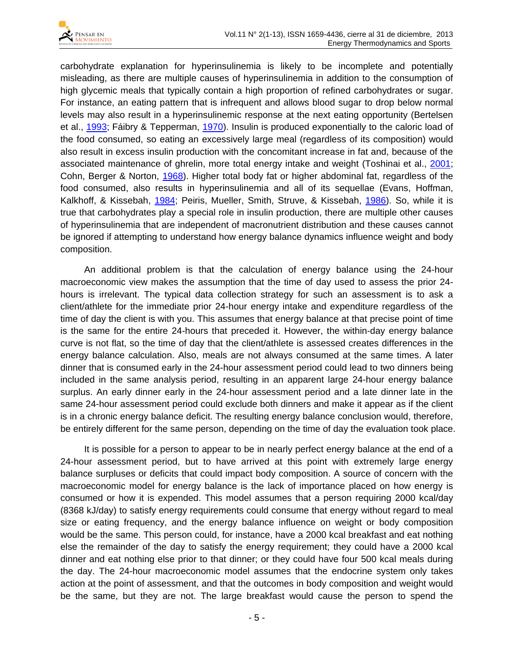

carbohydrate explanation for hyperinsulinemia is likely to be incomplete and potentially misleading, as there are multiple causes of hyperinsulinemia in addition to the consumption of high glycemic meals that typically contain a high proportion of refined carbohydrates or sugar. For instance, an eating pattern that is infrequent and allows blood sugar to drop below normal levels may also result in a hyperinsulinemic response at the next eating opportunity (Bertelsen et al., [1993;](#page-9-2) Fáibry & Tepperman, [1970\)](#page-10-6). Insulin is produced exponentially to the caloric load of the food consumed, so eating an excessively large meal (regardless of its composition) would also result in excess insulin production with the concomitant increase in fat and, because of the associated maintenance of ghrelin, more total energy intake and weight (Toshinai et al., [2001;](#page-12-2) Cohn, Berger & Norton, [1968\)](#page-10-7). Higher total body fat or higher abdominal fat, regardless of the food consumed, also results in hyperinsulinemia and all of its sequellae (Evans, Hoffman, Kalkhoff, & Kissebah, [1984;](#page-10-8) Peiris, Mueller, Smith, Struve, & Kissebah, [1986\)](#page-11-6). So, while it is true that carbohydrates play a special role in insulin production, there are multiple other causes of hyperinsulinemia that are independent of macronutrient distribution and these causes cannot be ignored if attempting to understand how energy balance dynamics influence weight and body composition.

An additional problem is that the calculation of energy balance using the 24-hour macroeconomic view makes the assumption that the time of day used to assess the prior 24 hours is irrelevant. The typical data collection strategy for such an assessment is to ask a client/athlete for the immediate prior 24-hour energy intake and expenditure regardless of the time of day the client is with you. This assumes that energy balance at that precise point of time is the same for the entire 24-hours that preceded it. However, the within-day energy balance curve is not flat, so the time of day that the client/athlete is assessed creates differences in the energy balance calculation. Also, meals are not always consumed at the same times. A later dinner that is consumed early in the 24-hour assessment period could lead to two dinners being included in the same analysis period, resulting in an apparent large 24-hour energy balance surplus. An early dinner early in the 24-hour assessment period and a late dinner late in the same 24-hour assessment period could exclude both dinners and make it appear as if the client is in a chronic energy balance deficit. The resulting energy balance conclusion would, therefore, be entirely different for the same person, depending on the time of day the evaluation took place.

It is possible for a person to appear to be in nearly perfect energy balance at the end of a 24-hour assessment period, but to have arrived at this point with extremely large energy balance surpluses or deficits that could impact body composition. A source of concern with the macroeconomic model for energy balance is the lack of importance placed on how energy is consumed or how it is expended. This model assumes that a person requiring 2000 kcal/day (8368 kJ/day) to satisfy energy requirements could consume that energy without regard to meal size or eating frequency, and the energy balance influence on weight or body composition would be the same. This person could, for instance, have a 2000 kcal breakfast and eat nothing else the remainder of the day to satisfy the energy requirement; they could have a 2000 kcal dinner and eat nothing else prior to that dinner; or they could have four 500 kcal meals during the day. The 24-hour macroeconomic model assumes that the endocrine system only takes action at the point of assessment, and that the outcomes in body composition and weight would be the same, but they are not. The large breakfast would cause the person to spend the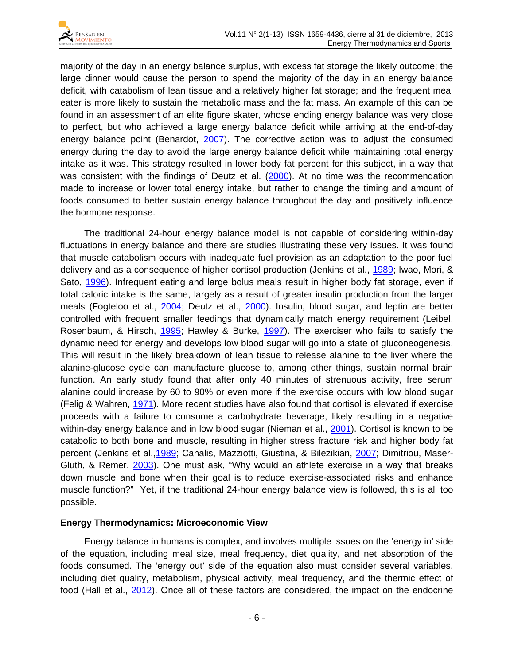

majority of the day in an energy balance surplus, with excess fat storage the likely outcome; the large dinner would cause the person to spend the majority of the day in an energy balance deficit, with catabolism of lean tissue and a relatively higher fat storage; and the frequent meal eater is more likely to sustain the metabolic mass and the fat mass. An example of this can be found in an assessment of an elite figure skater, whose ending energy balance was very close to perfect, but who achieved a large energy balance deficit while arriving at the end-of-day energy balance point (Benardot, [2007\)](#page-9-0). The corrective action was to adjust the consumed energy during the day to avoid the large energy balance deficit while maintaining total energy intake as it was. This strategy resulted in lower body fat percent for this subject, in a way that was consistent with the findings of Deutz et al. [\(2000\)](#page-10-3). At no time was the recommendation made to increase or lower total energy intake, but rather to change the timing and amount of foods consumed to better sustain energy balance throughout the day and positively influence the hormone response.

The traditional 24-hour energy balance model is not capable of considering within-day fluctuations in energy balance and there are studies illustrating these very issues. It was found that muscle catabolism occurs with inadequate fuel provision as an adaptation to the poor fuel delivery and as a consequence of higher cortisol production (Jenkins et al., [1989;](#page-11-7) Iwao, Mori, & Sato, [1996\)](#page-11-8). Infrequent eating and large bolus meals result in higher body fat storage, even if total caloric intake is the same, largely as a result of greater insulin production from the larger meals (Fogteloo et al., [2004;](#page-10-9) Deutz et al., [2000\)](#page-10-3). Insulin, blood sugar, and leptin are better controlled with frequent smaller feedings that dynamically match energy requirement (Leibel, Rosenbaum, & Hirsch, [1995;](#page-11-9) Hawley & Burke, [1997\)](#page-10-1). The exerciser who fails to satisfy the dynamic need for energy and develops low blood sugar will go into a state of gluconeogenesis. This will result in the likely breakdown of lean tissue to release alanine to the liver where the alanine-glucose cycle can manufacture glucose to, among other things, sustain normal brain function. An early study found that after only 40 minutes of strenuous activity, free serum alanine could increase by 60 to 90% or even more if the exercise occurs with low blood sugar (Felig & Wahren, [1971\)](#page-10-10). More recent studies have also found that cortisol is elevated if exercise proceeds with a failure to consume a carbohydrate beverage, likely resulting in a negative within-day energy balance and in low blood sugar (Nieman et al., [2001\)](#page-11-10). Cortisol is known to be catabolic to both bone and muscle, resulting in higher stress fracture risk and higher body fat percent (Jenkins et al.[,1989;](#page-11-7) Canalis, Mazziotti, Giustina, & Bilezikian, [2007;](#page-10-11) Dimitriou, Maser-Gluth, & Remer, [2003\)](#page-10-12). One must ask, "Why would an athlete exercise in a way that breaks down muscle and bone when their goal is to reduce exercise-associated risks and enhance muscle function?" Yet, if the traditional 24-hour energy balance view is followed, this is all too possible.

### **Energy Thermodynamics: Microeconomic View**

Energy balance in humans is complex, and involves multiple issues on the 'energy in' side of the equation, including meal size, meal frequency, diet quality, and net absorption of the foods consumed. The 'energy out' side of the equation also must consider several variables, including diet quality, metabolism, physical activity, meal frequency, and the thermic effect of food (Hall et al., [2012\)](#page-10-5). Once all of these factors are considered, the impact on the endocrine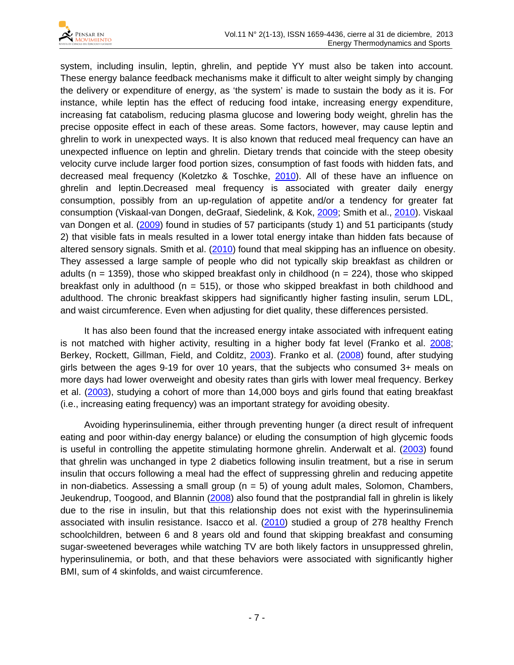

system, including insulin, leptin, ghrelin, and peptide YY must also be taken into account. These energy balance feedback mechanisms make it difficult to alter weight simply by changing the delivery or expenditure of energy, as 'the system' is made to sustain the body as it is. For instance, while leptin has the effect of reducing food intake, increasing energy expenditure, increasing fat catabolism, reducing plasma glucose and lowering body weight, ghrelin has the precise opposite effect in each of these areas. Some factors, however, may cause leptin and ghrelin to work in unexpected ways. It is also known that reduced meal frequency can have an unexpected influence on leptin and ghrelin. Dietary trends that coincide with the steep obesity velocity curve include larger food portion sizes, consumption of fast foods with hidden fats, and decreased meal frequency (Koletzko & Toschke, [2010\)](#page-11-2). All of these have an influence on ghrelin and leptin.Decreased meal frequency is associated with greater daily energy consumption, possibly from an up-regulation of appetite and/or a tendency for greater fat consumption (Viskaal-van Dongen, deGraaf, Siedelink, & Kok, [2009;](#page-12-3) Smith et al., [2010\)](#page-12-4). Viskaal van Dongen et al. [\(2009\)](#page-12-3) found in studies of 57 participants (study 1) and 51 participants (study 2) that visible fats in meals resulted in a lower total energy intake than hidden fats because of altered sensory signals. Smith et al. [\(2010\)](#page-12-4) found that meal skipping has an influence on obesity. They assessed a large sample of people who did not typically skip breakfast as children or adults ( $n = 1359$ ), those who skipped breakfast only in childhood ( $n = 224$ ), those who skipped breakfast only in adulthood ( $n = 515$ ), or those who skipped breakfast in both childhood and adulthood. The chronic breakfast skippers had significantly higher fasting insulin, serum LDL, and waist circumference. Even when adjusting for diet quality, these differences persisted.

It has also been found that the increased energy intake associated with infrequent eating is not matched with higher activity, resulting in a higher body fat level (Franko et al. [2008;](#page-10-13) Berkey, Rockett, Gillman, Field, and Colditz, [2003\)](#page-9-3). Franko et al. [\(2008\)](#page-10-13) found, after studying girls between the ages 9-19 for over 10 years, that the subjects who consumed 3+ meals on more days had lower overweight and obesity rates than girls with lower meal frequency. Berkey et al. [\(2003\)](#page-9-3), studying a cohort of more than 14,000 boys and girls found that eating breakfast (i.e., increasing eating frequency) was an important strategy for avoiding obesity.

Avoiding hyperinsulinemia, either through preventing hunger (a direct result of infrequent eating and poor within-day energy balance) or eluding the consumption of high glycemic foods is useful in controlling the appetite stimulating hormone ghrelin. Anderwalt et al. [\(2003\)](#page-9-4) found that ghrelin was unchanged in type 2 diabetics following insulin treatment, but a rise in serum insulin that occurs following a meal had the effect of suppressing ghrelin and reducing appetite in non-diabetics. Assessing a small group ( $n = 5$ ) of young adult males, Solomon, Chambers, Jeukendrup, Toogood, and Blannin [\(2008\)](#page-12-5) also found that the postprandial fall in ghrelin is likely due to the rise in insulin, but that this relationship does not exist with the hyperinsulinemia associated with insulin resistance. Isacco et al. [\(2010\)](#page-11-11) studied a group of 278 healthy French schoolchildren, between 6 and 8 years old and found that skipping breakfast and consuming sugar-sweetened beverages while watching TV are both likely factors in unsuppressed ghrelin, hyperinsulinemia, or both, and that these behaviors were associated with significantly higher BMI, sum of 4 skinfolds, and waist circumference.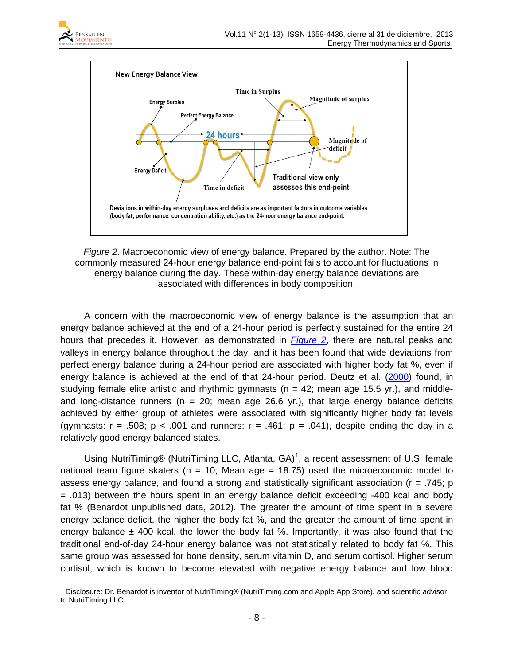



<span id="page-7-0"></span>*Figure 2*. Macroeconomic view of energy balance. Prepared by the author. Note: The commonly measured 24-hour energy balance end-point fails to account for fluctuations in energy balance during the day. These within-day energy balance deviations are associated with differences in body composition.

A concern with the macroeconomic view of energy balance is the assumption that an energy balance achieved at the end of a 24-hour period is perfectly sustained for the entire 24 hours that precedes it. However, as demonstrated in *[Figure 2](#page-7-0)*, there are natural peaks and valleys in energy balance throughout the day, and it has been found that wide deviations from perfect energy balance during a 24-hour period are associated with higher body fat %, even if energy balance is achieved at the end of that 24-hour period. Deutz et al. [\(2000\)](#page-10-3) found, in studying female elite artistic and rhythmic gymnasts ( $n = 42$ ; mean age 15.5 yr.), and middleand long-distance runners ( $n = 20$ ; mean age 26.6 yr.), that large energy balance deficits achieved by either group of athletes were associated with significantly higher body fat levels (gymnasts:  $r = .508$ ;  $p < .001$  and runners:  $r = .461$ ;  $p = .041$ ), despite ending the day in a relatively good energy balanced states.

Using NutriTiming® (NutriTiming LLC, Atlanta, GA)<sup>[1](#page-7-1)</sup>, a recent assessment of U.S. female national team figure skaters ( $n = 10$ ; Mean age = 18.75) used the microeconomic model to assess energy balance, and found a strong and statistically significant association (r = .745; p = .013) between the hours spent in an energy balance deficit exceeding -400 kcal and body fat % (Benardot unpublished data, 2012). The greater the amount of time spent in a severe energy balance deficit, the higher the body fat %, and the greater the amount of time spent in energy balance  $\pm$  400 kcal, the lower the body fat %. Importantly, it was also found that the traditional end-of-day 24-hour energy balance was not statistically related to body fat %. This same group was assessed for bone density, serum vitamin D, and serum cortisol. Higher serum cortisol, which is known to become elevated with negative energy balance and low blood

<span id="page-7-1"></span><sup>&</sup>lt;sup>1</sup> Disclosure: Dr. Benardot is inventor of NutriTiming® (NutriTiming.com and Apple App Store), and scientific advisor to NutriTiming LLC.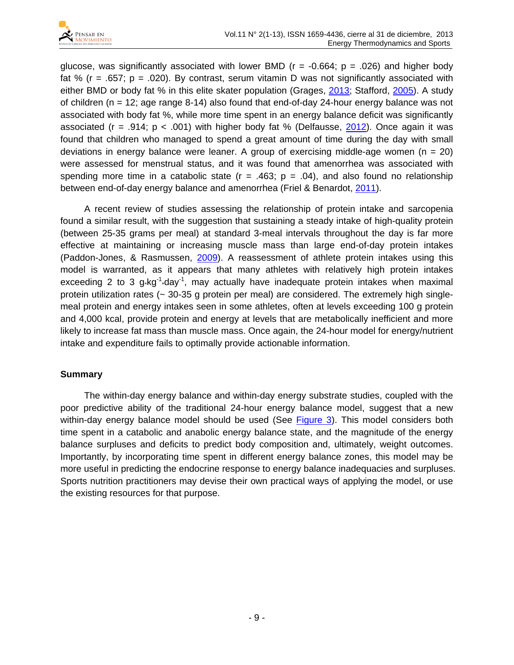

glucose, was significantly associated with lower BMD ( $r = -0.664$ ;  $p = .026$ ) and higher body fat % ( $r = .657$ ;  $p = .020$ ). By contrast, serum vitamin D was not significantly associated with either BMD or body fat % in this elite skater population (Grages, [2013;](#page-10-14) Stafford, [2005\)](#page-12-6). A study of children (n = 12; age range 8-14) also found that end-of-day 24-hour energy balance was not associated with body fat %, while more time spent in an energy balance deficit was significantly associated (r = .914;  $p < .001$ ) with higher body fat % (Delfausse, [2012\)](#page-10-15). Once again it was found that children who managed to spend a great amount of time during the day with small deviations in energy balance were leaner. A group of exercising middle-age women ( $n = 20$ ) were assessed for menstrual status, and it was found that amenorrhea was associated with spending more time in a catabolic state ( $r = .463$ ;  $p = .04$ ), and also found no relationship between end-of-day energy balance and amenorrhea (Friel & Benardot, [2011\)](#page-10-16).

A recent review of studies assessing the relationship of protein intake and sarcopenia found a similar result, with the suggestion that sustaining a steady intake of high-quality protein (between 25-35 grams per meal) at standard 3-meal intervals throughout the day is far more effective at maintaining or increasing muscle mass than large end-of-day protein intakes (Paddon-Jones, & Rasmussen, [2009\)](#page-11-12). A reassessment of athlete protein intakes using this model is warranted, as it appears that many athletes with relatively high protein intakes exceeding 2 to 3  $g$ -kg<sup>-1</sup>-day<sup>-1</sup>, may actually have inadequate protein intakes when maximal protein utilization rates (~ 30-35 g protein per meal) are considered. The extremely high singlemeal protein and energy intakes seen in some athletes, often at levels exceeding 100 g protein and 4,000 kcal, provide protein and energy at levels that are metabolically inefficient and more likely to increase fat mass than muscle mass. Once again, the 24-hour model for energy/nutrient intake and expenditure fails to optimally provide actionable information.

### **Summary**

The within-day energy balance and within-day energy substrate studies, coupled with the poor predictive ability of the traditional 24-hour energy balance model, suggest that a new within-day energy balance model should be used (See [Figure 3\)](#page-9-5). This model considers both time spent in a catabolic and anabolic energy balance state, and the magnitude of the energy balance surpluses and deficits to predict body composition and, ultimately, weight outcomes. Importantly, by incorporating time spent in different energy balance zones, this model may be more useful in predicting the endocrine response to energy balance inadequacies and surpluses. Sports nutrition practitioners may devise their own practical ways of applying the model, or use the existing resources for that purpose.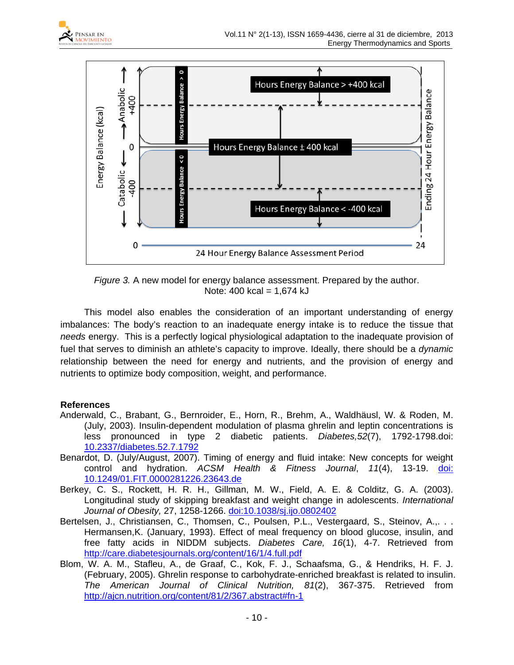



*Figure 3.* A new model for energy balance assessment. Prepared by the author. Note:  $400$  kcal =  $1,674$  kJ

<span id="page-9-5"></span>This model also enables the consideration of an important understanding of energy imbalances: The body's reaction to an inadequate energy intake is to reduce the tissue that *needs* energy. This is a perfectly logical physiological adaptation to the inadequate provision of fuel that serves to diminish an athlete's capacity to improve. Ideally, there should be a *dynamic* relationship between the need for energy and nutrients, and the provision of energy and nutrients to optimize body composition, weight, and performance.

### **References**

- <span id="page-9-4"></span>Anderwald, C., Brabant, G., Bernroider, E., Horn, R., Brehm, A., Waldhäusl, W. & Roden, M. (July, 2003). Insulin-dependent modulation of plasma ghrelin and leptin concentrations is less pronounced in type 2 diabetic patients. *Diabetes,52*(7), 1792-1798.doi: [10.2337/diabetes.52.7.1792](http://diabetes.diabetesjournals.org/content/52/7/1792.full.pdf+html)
- <span id="page-9-0"></span>Benardot, D. (July/August, 2007). Timing of energy and fluid intake: New concepts for weight control and hydration. *ACSM Health & Fitness Journal*, *11*(4), 13-19. [doi:](http://journals.lww.com/acsm-healthfitness/Abstract/2007/07000/TIMING_OF_ENERGY_AND_FLUID_INTAKE__New_Concepts.8.aspx)  [10.1249/01.FIT.0000281226.23643.de](http://journals.lww.com/acsm-healthfitness/Abstract/2007/07000/TIMING_OF_ENERGY_AND_FLUID_INTAKE__New_Concepts.8.aspx)
- <span id="page-9-3"></span>Berkey, C. S., Rockett, H. R. H., Gillman, M. W., Field, A. E. & Colditz, G. A. (2003). Longitudinal study of skipping breakfast and weight change in adolescents. *International Journal of Obesity,* 27, 1258-1266. [doi:10.1038/sj.ijo.0802402](http://www.nature.com/ijo/journal/v27/n10/abs/0802402a.html)
- <span id="page-9-2"></span>Bertelsen, J., Christiansen, C., Thomsen, C., Poulsen, P.L., Vestergaard, S., Steinov, A.,... Hermansen,K. (January, 1993). Effect of meal frequency on blood glucose, insulin, and free fatty acids in NIDDM subjects. *Diabetes Care, 16*(1), 4-7. Retrieved from <http://care.diabetesjournals.org/content/16/1/4.full.pdf>
- <span id="page-9-1"></span>Blom, W. A. M., Stafleu, A., de Graaf, C., Kok, F. J., Schaafsma, G., & Hendriks, H. F. J. (February, 2005). Ghrelin response to carbohydrate-enriched breakfast is related to insulin. *The American Journal of Clinical Nutrition, 81*(2), 367-375. Retrieved from <http://ajcn.nutrition.org/content/81/2/367.abstract#fn-1>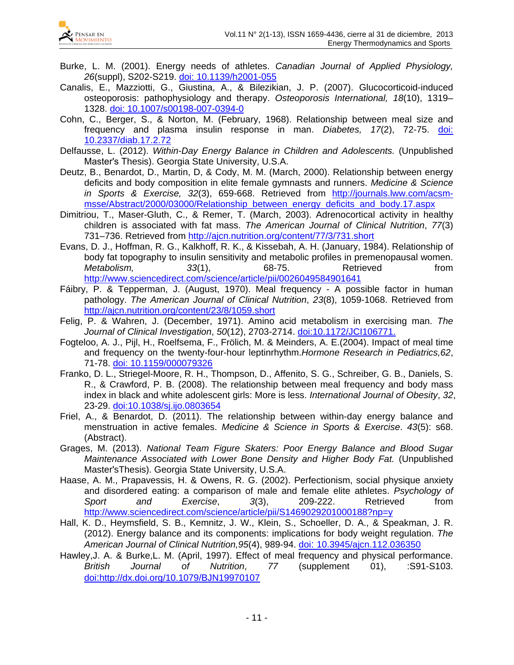

- <span id="page-10-0"></span>Burke, L. M. (2001). Energy needs of athletes. *Canadian Journal of Applied Physiology, 26*(suppl), S202-S219. [doi: 10.1139/h2001-055](http://www.nrcresearchpress.com/doi/abs/10.1139/h2001-055#.Uo9zGdJLOHI)
- <span id="page-10-11"></span>Canalis, E., Mazziotti, G., Giustina, A., & Bilezikian, J. P. (2007). Glucocorticoid-induced osteoporosis: pathophysiology and therapy. *Osteoporosis International, 18*(10), 1319– 1328. [doi: 10.1007/s00198-007-0394-0](http://www.cof.org.cn/pdf/2007/10/Glucocorticoid%20induced%20osteoporosis.pdf)
- <span id="page-10-7"></span>Cohn, C., Berger, S., & Norton, M. (February, 1968). Relationship between meal size and frequency and plasma insulin response in man. *Diabetes, 17*(2), 72-75. [doi:](http://diabetes.diabetesjournals.org/content/17/2/72.short)  [10.2337/diab.17.2.72](http://diabetes.diabetesjournals.org/content/17/2/72.short)
- <span id="page-10-15"></span>Delfausse, L. (2012). *Within-Day Energy Balance in Children and Adolescents.* (Unpublished Master's Thesis). Georgia State University, U.S.A.
- <span id="page-10-3"></span>Deutz, B., Benardot, D., Martin, D, & Cody, M. M. (March, 2000). Relationship between energy deficits and body composition in elite female gymnasts and runners. *Medicine & Science in Sports & Exercise, 32*(3), 659-668. Retrieved from [http://journals.lww.com/acsm](http://journals.lww.com/acsm-msse/Abstract/2000/03000/Relationship_between_energy_deficits_and_body.17.aspx)[msse/Abstract/2000/03000/Relationship\\_between\\_energy\\_deficits\\_and\\_body.17.aspx](http://journals.lww.com/acsm-msse/Abstract/2000/03000/Relationship_between_energy_deficits_and_body.17.aspx)
- <span id="page-10-12"></span>Dimitriou, T., Maser-Gluth, C., & Remer, T. (March, 2003). Adrenocortical activity in healthy children is associated with fat mass. *The American Journal of Clinical Nutrition*, *77*(3) 731–736. Retrieved from<http://ajcn.nutrition.org/content/77/3/731.short>
- <span id="page-10-8"></span>Evans, D. J., Hoffman, R. G., Kalkhoff, R. K., & Kissebah, A. H. (January, 1984). Relationship of body fat topography to insulin sensitivity and metabolic profiles in premenopausal women.<br>Metabolism. 33(1), 68-75. Retrieved from *Metabolism,* 33(1), 68-75. Retrieved from <http://www.sciencedirect.com/science/article/pii/0026049584901641>
- <span id="page-10-6"></span>Fáibry, P. & Tepperman, J. (August, 1970). Meal frequency - A possible factor in human pathology. *The American Journal of Clinical Nutrition*, *23*(8), 1059-1068. Retrieved from <http://ajcn.nutrition.org/content/23/8/1059.short>
- <span id="page-10-10"></span>Felig, P. & Wahren, J. (December, 1971). Amino acid metabolism in exercising man. *The Journal of Clinical Investigation*, *50*(12), 2703-2714. [doi:10.1172/JCI106771.](http://www.jci.org/articles/view/106771)
- <span id="page-10-9"></span>Fogteloo, A. J., Pijl, H., Roelfsema, F., Frölich, M. & Meinders, A. E.(2004). Impact of meal time and frequency on the twenty-four-hour leptinrhythm.*Hormone Research in Pediatrics,62*, 71-78. doi: [10.1159/000079326](http://www.karger.com/Article/FullText/79326)
- <span id="page-10-13"></span>Franko, D. L., Striegel-Moore, R. H., Thompson, D., Affenito, S. G., Schreiber, G. B., Daniels, S. R., & Crawford, P. B. (2008). The relationship between meal frequency and body mass index in black and white adolescent girls: More is less. *International Journal of Obesity*, *32*, 23-29. [doi:10.1038/sj.ijo.0803654](http://www.nature.com/ijo/journal/v32/n1/abs/0803654a.html)
- <span id="page-10-16"></span>Friel, A., & Benardot, D. (2011). The relationship between within-day energy balance and menstruation in active females. *Medicine & Science in Sports & Exercise*. *43*(5): s68. (Abstract).
- <span id="page-10-14"></span>Grages, M. (2013). *National Team Figure Skaters: Poor Energy Balance and Blood Sugar Maintenance Associated with Lower Bone Density and Higher Body Fat.* (Unpublished MasterʹsThesis). Georgia State University, U.S.A.
- <span id="page-10-4"></span>Haase, A. M., Prapavessis, H. & Owens, R. G. (2002). Perfectionism, social physique anxiety and disordered eating: a comparison of male and female elite athletes. *Psychology of Sport and Exercise*, *3*(3), 209-222. Retrieved from <http://www.sciencedirect.com/science/article/pii/S1469029201000188?np=y>
- <span id="page-10-5"></span>Hall, K. D., Heymsfield, S. B., Kemnitz, J. W., Klein, S., Schoeller, D. A., & Speakman, J. R. (2012). Energy balance and its components: implications for body weight regulation. *The American Journal of Clinical Nutrition,95*(4), 989-94. doi: [10.3945/ajcn.112.036350](http://ajcn.nutrition.org/content/95/4/989.full)
- <span id="page-10-2"></span><span id="page-10-1"></span>Hawley,J. A. & Burke,L. M. (April, 1997). Effect of meal frequency and physical performance. *British Journal of Nutrition*, *77* (supplement 01), :S91-S103. doi[:http://dx.doi.org/10.1079/BJN19970107](http://dx.doi.org/10.1079/BJN19970107)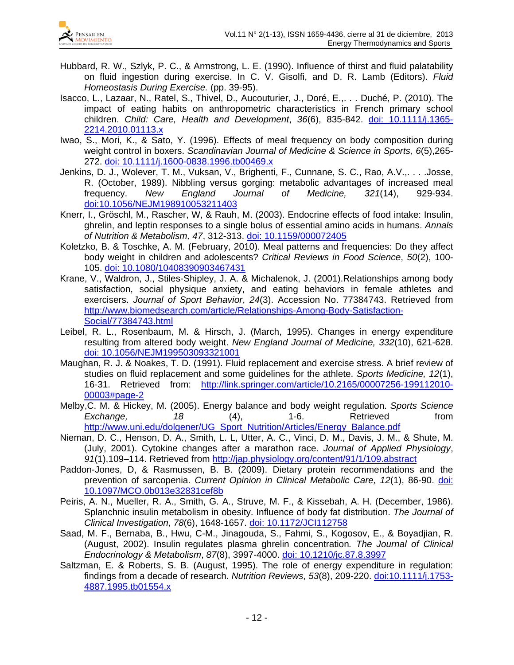

- Hubbard, R. W., Szlyk, P. C., & Armstrong, L. E. (1990). Influence of thirst and fluid palatability on fluid ingestion during exercise. In C. V. Gisolfi, and D. R. Lamb (Editors). *Fluid Homeostasis During Exercise.* (pp. 39-95).
- <span id="page-11-11"></span>Isacco, L., Lazaar, N., Ratel, S., Thivel, D., Aucouturier, J., Doré, E.,. . . Duché, P. (2010). The impact of eating habits on anthropometric characteristics in French primary school children. *Child: Care, Health and Development*, *36*(6), 835-842. doi: [10.1111/j.1365-](http://onlinelibrary.wiley.com/doi/10.1111/j.1365-2214.2010.01113.x/abstract) [2214.2010.01113.x](http://onlinelibrary.wiley.com/doi/10.1111/j.1365-2214.2010.01113.x/abstract)
- <span id="page-11-8"></span>Iwao, S., Mori, K., & Sato, Y. (1996). Effects of meal frequency on body composition during weight control in boxers. *Scandinavian Journal of Medicine & Science in Sports, 6*(5),265- 272. doi: 10.1111/j.1600-0838.1996.tb00469.x
- <span id="page-11-7"></span>Jenkins, D. J., Wolever, T. M., Vuksan, V., Brighenti, F., Cunnane, S. C., Rao, A.V.,. . . .Josse, R. (October, 1989). Nibbling versus gorging: metabolic advantages of increased meal<br>frequency. New England Journal of Medicine. 321(14). 929-934. frequency. *New England Journal of Medicine, 321*(14), 929-934. doi[:10.1056/NEJM198910053211403](http://www.nejm.org/doi/pdf/10.1056/NEJM198910053211403)
- <span id="page-11-5"></span>Knerr, I., Gröschl, M., Rascher, W, & Rauh, M. (2003). Endocrine effects of food intake: Insulin, ghrelin, and leptin responses to a single bolus of essential amino acids in humans. *Annals of Nutrition & Metabolism, 47*, 312-313. doi: [10.1159/000072405](http://www.karger.com/Article/FullText/72405)
- Koletzko, B. & Toschke, A. M. (February, 2010). Meal patterns and frequencies: Do they affect body weight in children and adolescents? *Critical Reviews in Food Science*, *50*(2), 100- 105. [doi: 10.1080/10408390903467431](http://www.tandfonline.com/doi/pdf/10.1080/10408390903467431)
- <span id="page-11-2"></span>Krane, V., Waldron, J., Stiles-Shipley, J. A. & Michalenok, J. (2001).Relationships among body satisfaction, social physique anxiety, and eating behaviors in female athletes and exercisers. *Journal of Sport Behavior*, *24*(3). Accession No. 77384743. Retrieved from [http://www.biomedsearch.com/article/Relationships-Among-Body-Satisfaction-](http://www.biomedsearch.com/article/Relationships-Among-Body-Satisfaction-Social/77384743.html)[Social/77384743.html](http://www.biomedsearch.com/article/Relationships-Among-Body-Satisfaction-Social/77384743.html)
- <span id="page-11-9"></span>Leibel, R. L., Rosenbaum, M. & Hirsch, J. (March, 1995). Changes in energy expenditure resulting from altered body weight. *New England Journal of Medicine, 332*(10), 621-628. doi: [10.1056/NEJM199503093321001](http://www.nejm.org/doi/full/10.1056/NEJM199503093321001)
- <span id="page-11-0"></span>Maughan, R. J. & Noakes, T. D. (1991). Fluid replacement and exercise stress. A brief review of studies on fluid replacement and some guidelines for the athlete. *Sports Medicine, 12*(1), 16-31. Retrieved from: [http://link.springer.com/article/10.2165/00007256-199112010-](http://link.springer.com/article/10.2165/00007256-199112010-00003#page-2) [00003#page-2](http://link.springer.com/article/10.2165/00007256-199112010-00003#page-2)
- <span id="page-11-3"></span>Melby,C. M. & Hickey, M. (2005). Energy balance and body weight regulation. *Sports Science Exchange,* 18 (4), 1-6. Retrieved from [http://www.uni.edu/dolgener/UG\\_Sport\\_Nutrition/Articles/Energy\\_Balance.pdf](http://www.uni.edu/dolgener/UG_Sport_Nutrition/Articles/Energy_Balance.pdf)
- <span id="page-11-10"></span>Nieman, D. C., Henson, D. A., Smith, L. L, Utter, A. C., Vinci, D. M., Davis, J. M., & Shute, M. (July, 2001). Cytokine changes after a marathon race. *Journal of Applied Physiology*, *91*(1),109–114. Retrieved from<http://jap.physiology.org/content/91/1/109.abstract>
- <span id="page-11-12"></span>Paddon-Jones, D, & Rasmussen, B. B. (2009). Dietary protein recommendations and the prevention of sarcopenia. *Current Opinion in Clinical Metabolic Care, 12*(1), 86-90. [doi:](http://journals.lww.com/co-clinicalnutrition/Abstract/2009/01000/Dietary_protein_recommendations_and_the_prevention.15.aspx)  [10.1097/MCO.0b013e32831cef8b](http://journals.lww.com/co-clinicalnutrition/Abstract/2009/01000/Dietary_protein_recommendations_and_the_prevention.15.aspx)
- <span id="page-11-6"></span>Peiris, A. N., Mueller, R. A., Smith, G. A., Struve, M. F., & Kissebah, A. H. (December, 1986). Splanchnic insulin metabolism in obesity. Influence of body fat distribution. *The Journal of Clinical Investigation*, *78*(6), 1648-1657. doi: [10.1172/JCI112758](http://www.jci.org/articles/view/112758)
- <span id="page-11-4"></span>Saad, M. F., Bernaba, B., Hwu, C-M., Jinagouda, S., Fahmi, S., Kogosov, E., & Boyadjian, R. (August, 2002). Insulin regulates plasma ghrelin concentration*. The Journal of Clinical Endocrinology & Metabolism*, *87*(8), 3997-4000. doi: [10.1210/jc.87.8.3997](http://jcem.endojournals.org/content/87/8/3997.short)
- <span id="page-11-1"></span>Saltzman, E. & Roberts, S. B. (August, 1995). The role of energy expenditure in regulation: findings from a decade of research. *Nutrition Reviews*, *53*(8), 209-220. doi[:10.1111/j.1753-](http://onlinelibrary.wiley.com/doi/10.1111/j.1753-4887.1995.tb01554.x/abstract) [4887.1995.tb01554.x](http://onlinelibrary.wiley.com/doi/10.1111/j.1753-4887.1995.tb01554.x/abstract)